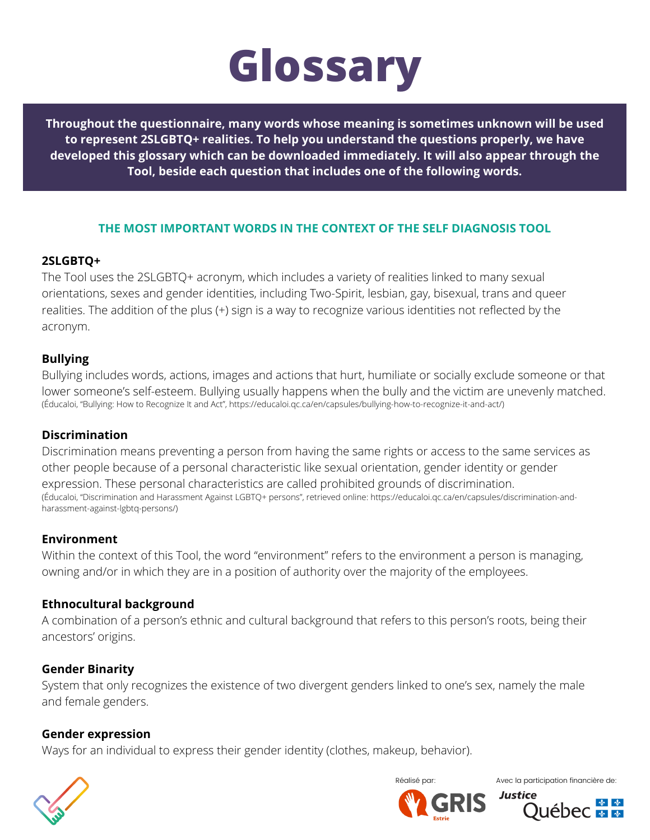

**Throughout the questionnaire, many words whose meaning is sometimes unknown will be used to represent 2SLGBTQ+ realities. To help you understand the questions properly, we have developed this glossary which can be downloaded immediately. It will also appear through the Tool, beside each question that includes one of the following words.**

### **THE MOST IMPORTANT WORDS IN THE CONTEXT OF THE SELF DIAGNOSIS TOOL**

## **2SLGBTQ+**

The Tool uses the 2SLGBTQ+ acronym, which includes a variety of realities linked to many sexual orientations, sexes and gender identities, including Two-Spirit, lesbian, gay, bisexual, trans and queer realities. The addition of the plus (+) sign is a way to recognize various identities not reflected by the acronym.

## **Bullying**

Bullying includes words, actions, images and actions that hurt, humiliate or socially exclude someone or that lower someone's self-esteem. Bullying usually happens when the bully and the victim are unevenly matched. (Éducaloi, "Bullying: How to Recognize It and Act", [https://educaloi.qc.ca/en/capsules/bullying-how-to-recognize-it-and-act/\)](https://educaloi.qc.ca/en/capsules/bullying-how-to-recognize-it-and-act/)

### **Discrimination**

Discrimination means preventing a person from having the same rights or access to the same services as other people because of a personal characteristic like sexual orientation, gender identity or gender expression. These personal characteristics are called prohibited grounds of discrimination. [\(Éducaloi, "Discrimination and Harassment Against LGBTQ+ persons", retrieved online: https://educaloi.qc.ca/en/capsules/discrimination-and](https://educaloi.qc.ca/en/capsules/discrimination-and-harassment-against-lgbtq-persons/)harassment-against-lgbtq-persons/)

### **Environment**

Within the context of this Tool, the word "environment" refers to the environment a person is managing, owning and/or in which they are in a position of authority over the majority of the employees.

# **Ethnocultural background**

A combination of a person's ethnic and cultural background that refers to this person's roots, being their ancestors' origins.

### **Gender Binarity**

System that only recognizes the existence of two divergent genders linked to one's sex, namely the male and female genders.

### **Gender expression**

Ways for an individual to express their gender identity (clothes, makeup, behavior).





Réalisé par:  $\sqrt{a}$  Avec la participation financière de:

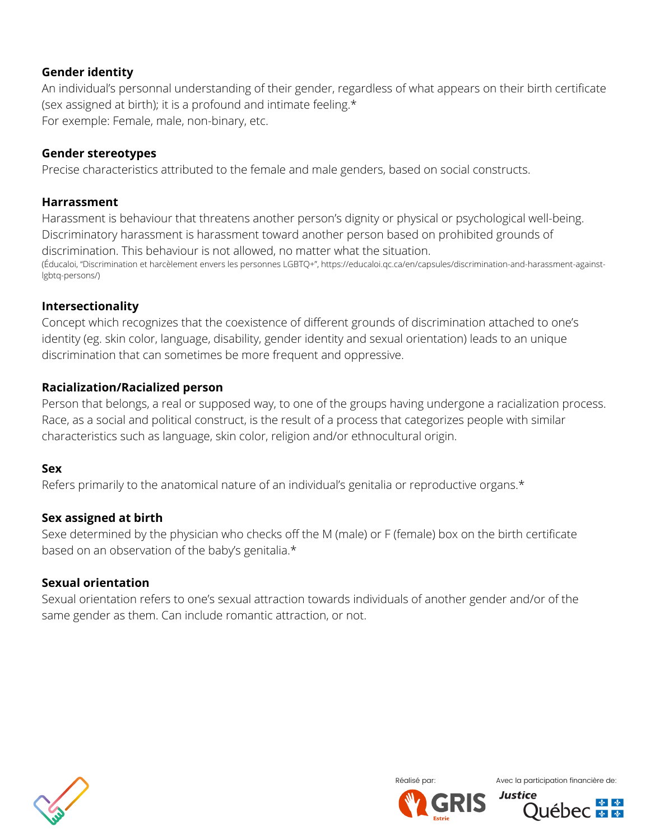# **Gender identity**

An individual's personnal understanding of their gender, regardless of what appears on their birth certificate (sex assigned at birth); it is a profound and intimate feeling.\* For exemple: Female, male, non-binary, etc.

## **Gender stereotypes**

Precise characteristics attributed to the female and male genders, based on social constructs.

### **Harrassment**

Harassment is behaviour that threatens another person's dignity or physical or psychological well-being. Discriminatory harassment is harassment toward another person based on prohibited grounds of discrimination. This behaviour is not allowed, no matter what the situation. [\(Éducaloi, "Discrimination et harcèlement envers les personnes LGBTQ+", https://educaloi.qc.ca/en/capsules/discrimination-and-harassment-against](https://educaloi.qc.ca/en/capsules/discrimination-and-harassment-against-lgbtq-persons/)lgbtq-persons/)

## **Intersectionality**

Concept which recognizes that the coexistence of different grounds of discrimination attached to one's identity (eg. skin color, language, disability, gender identity and sexual orientation) leads to an unique discrimination that can sometimes be more frequent and oppressive.

# **Racialization/Racialized person**

Person that belongs, a real or supposed way, to one of the groups having undergone a racialization process. Race, as a social and political construct, is the result of a process that categorizes people with similar characteristics such as language, skin color, religion and/or ethnocultural origin.

### **Sex**

Refers primarily to the anatomical nature of an individual's genitalia or reproductive organs.\*

# **Sex assigned at birth**

Sexe determined by the physician who checks off the M (male) or F (female) box on the birth certificate based on an observation of the baby's genitalia.\*

### **Sexual orientation**

Sexual orientation refers to one's sexual attraction towards individuals of another gender and/or of the same gender as them. Can include romantic attraction, or not.





Réalisé par:  $\sqrt{a}$  Avec la participation financière de

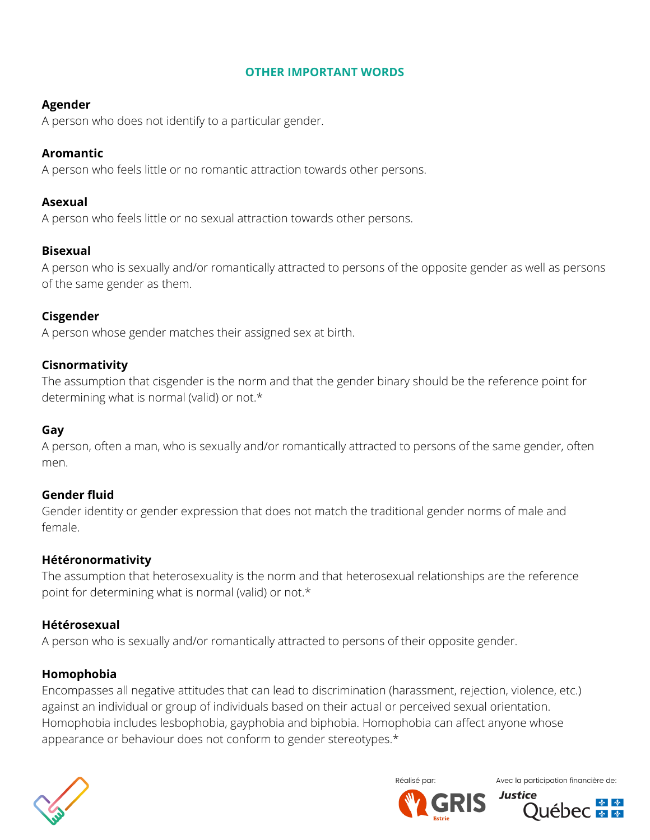## **OTHER IMPORTANT WORDS**

# **Agender**

A person who does not identify to a particular gender.

# **Aromantic**

A person who feels little or no romantic attraction towards other persons.

# **Asexual**

A person who feels little or no sexual attraction towards other persons.

# **Bisexual**

A person who is sexually and/or romantically attracted to persons of the opposite gender as well as persons of the same gender as them.

# **Cisgender**

A person whose gender matches their assigned sex at birth.

# **Cisnormativity**

The assumption that cisgender is the norm and that the gender binary should be the reference point for determining what is normal (valid) or not.\*

# **Gay**

A person, often a man, who is sexually and/or romantically attracted to persons of the same gender, often men.

# **Gender fluid**

Gender identity or gender expression that does not match the traditional gender norms of male and female.

# **Hétéronormativity**

The assumption that heterosexuality is the norm and that heterosexual relationships are the reference point for determining what is normal (valid) or not.\*

# **Hétérosexual**

A person who is sexually and/or romantically attracted to persons of their opposite gender.

# **Homophobia**

Encompasses all negative attitudes that can lead to discrimination (harassment, rejection, violence, etc.) against an individual or group of individuals based on their actual or perceived sexual orientation. Homophobia includes lesbophobia, gayphobia and biphobia. Homophobia can affect anyone whose appearance or behaviour does not conform to gender stereotypes.\*